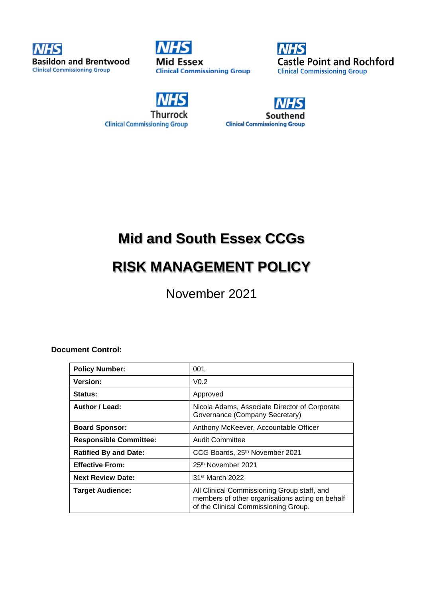

**Mid Essex Clinical Commissioning Group** 



**Thurrock Clinical Commissioning Group** 



# **Mid and South Essex CCGs**

# **RISK MANAGEMENT POLICY**

November 2021

## **Document Control:**

| <b>Policy Number:</b>         | 001                                                                                                                                    |
|-------------------------------|----------------------------------------------------------------------------------------------------------------------------------------|
| <b>Version:</b>               | V <sub>0.2</sub>                                                                                                                       |
| <b>Status:</b>                | Approved                                                                                                                               |
| Author / Lead:                | Nicola Adams, Associate Director of Corporate<br>Governance (Company Secretary)                                                        |
| <b>Board Sponsor:</b>         | Anthony McKeever, Accountable Officer                                                                                                  |
| <b>Responsible Committee:</b> | <b>Audit Committee</b>                                                                                                                 |
| <b>Ratified By and Date:</b>  | CCG Boards, 25th November 2021                                                                                                         |
| <b>Effective From:</b>        | 25 <sup>th</sup> November 2021                                                                                                         |
| <b>Next Review Date:</b>      | 31 <sup>st</sup> March 2022                                                                                                            |
| <b>Target Audience:</b>       | All Clinical Commissioning Group staff, and<br>members of other organisations acting on behalf<br>of the Clinical Commissioning Group. |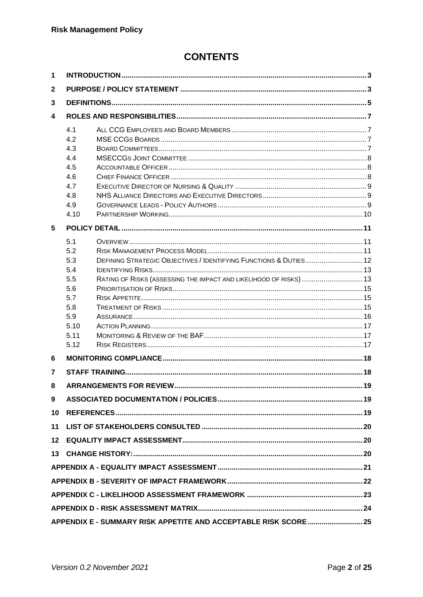# **CONTENTS**

| 1              |                                                                                     |                                                                                                                                         |  |  |  |  |
|----------------|-------------------------------------------------------------------------------------|-----------------------------------------------------------------------------------------------------------------------------------------|--|--|--|--|
| $\mathbf{2}$   |                                                                                     |                                                                                                                                         |  |  |  |  |
| 3              |                                                                                     |                                                                                                                                         |  |  |  |  |
| 4              |                                                                                     |                                                                                                                                         |  |  |  |  |
|                | 4.1<br>4.2<br>4.3<br>4.4<br>4.5<br>4.6<br>4.7<br>4.8<br>4.9<br>4.10                 |                                                                                                                                         |  |  |  |  |
| 5              |                                                                                     |                                                                                                                                         |  |  |  |  |
|                | 5.1<br>5.2<br>5.3<br>5.4<br>5.5<br>5.6<br>5.7<br>5.8<br>5.9<br>5.10<br>5.11<br>5.12 | DEFINING STRATEGIC OBJECTIVES / IDENTIFYING FUNCTIONS & DUTIES 12<br>RATING OF RISKS (ASSESSING THE IMPACT AND LIKELIHOOD OF RISKS)  13 |  |  |  |  |
| 6              |                                                                                     |                                                                                                                                         |  |  |  |  |
| $\overline{7}$ |                                                                                     |                                                                                                                                         |  |  |  |  |
| 8              |                                                                                     |                                                                                                                                         |  |  |  |  |
| 9              |                                                                                     |                                                                                                                                         |  |  |  |  |
| 10             |                                                                                     |                                                                                                                                         |  |  |  |  |
| 11             |                                                                                     |                                                                                                                                         |  |  |  |  |
| 12             |                                                                                     |                                                                                                                                         |  |  |  |  |
|                |                                                                                     |                                                                                                                                         |  |  |  |  |
|                |                                                                                     |                                                                                                                                         |  |  |  |  |
|                |                                                                                     |                                                                                                                                         |  |  |  |  |
|                |                                                                                     |                                                                                                                                         |  |  |  |  |
|                |                                                                                     |                                                                                                                                         |  |  |  |  |
|                |                                                                                     | APPENDIX E - SUMMARY RISK APPETITE AND ACCEPTABLE RISK SCORE  25                                                                        |  |  |  |  |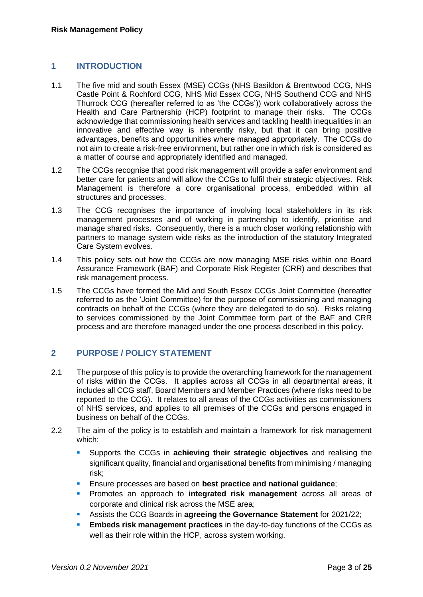## **1 INTRODUCTION**

- 1.1 The five mid and south Essex (MSE) CCGs (NHS Basildon & Brentwood CCG, NHS Castle Point & Rochford CCG, NHS Mid Essex CCG, NHS Southend CCG and NHS Thurrock CCG (hereafter referred to as 'the CCGs')) work collaboratively across the Health and Care Partnership (HCP) footprint to manage their risks. The CCGs acknowledge that commissioning health services and tackling health inequalities in an innovative and effective way is inherently risky, but that it can bring positive advantages, benefits and opportunities where managed appropriately. The CCGs do not aim to create a risk-free environment, but rather one in which risk is considered as a matter of course and appropriately identified and managed.
- 1.2 The CCGs recognise that good risk management will provide a safer environment and better care for patients and will allow the CCGs to fulfil their strategic objectives. Risk Management is therefore a core organisational process, embedded within all structures and processes.
- 1.3 The CCG recognises the importance of involving local stakeholders in its risk management processes and of working in partnership to identify, prioritise and manage shared risks. Consequently, there is a much closer working relationship with partners to manage system wide risks as the introduction of the statutory Integrated Care System evolves.
- 1.4 This policy sets out how the CCGs are now managing MSE risks within one Board Assurance Framework (BAF) and Corporate Risk Register (CRR) and describes that risk management process.
- 1.5 The CCGs have formed the Mid and South Essex CCGs Joint Committee (hereafter referred to as the 'Joint Committee) for the purpose of commissioning and managing contracts on behalf of the CCGs (where they are delegated to do so). Risks relating to services commissioned by the Joint Committee form part of the BAF and CRR process and are therefore managed under the one process described in this policy.

## **2 PURPOSE / POLICY STATEMENT**

- 2.1 The purpose of this policy is to provide the overarching framework for the management of risks within the CCGs. It applies across all CCGs in all departmental areas, it includes all CCG staff, Board Members and Member Practices (where risks need to be reported to the CCG). It relates to all areas of the CCGs activities as commissioners of NHS services, and applies to all premises of the CCGs and persons engaged in business on behalf of the CCGs.
- 2.2 The aim of the policy is to establish and maintain a framework for risk management which:
	- Supports the CCGs in **achieving their strategic objectives** and realising the significant quality, financial and organisational benefits from minimising / managing risk;
	- Ensure processes are based on **best practice and national guidance**;
	- Promotes an approach to **integrated risk management** across all areas of corporate and clinical risk across the MSE area;
	- Assists the CCG Boards in **agreeing the Governance Statement** for 2021/22;
	- **Embeds risk management practices** in the day-to-day functions of the CCGs as well as their role within the HCP, across system working.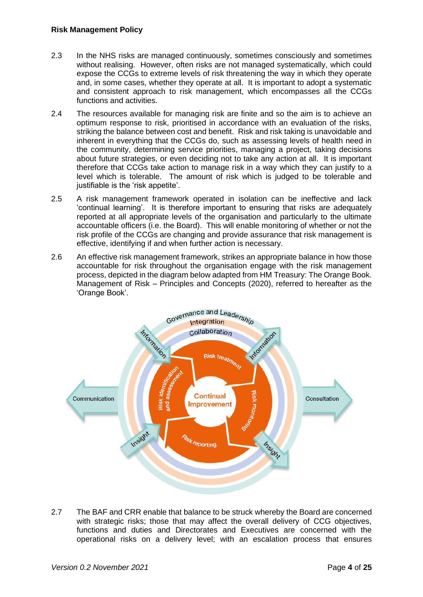- 2.3 In the NHS risks are managed continuously, sometimes consciously and sometimes without realising. However, often risks are not managed systematically, which could expose the CCGs to extreme levels of risk threatening the way in which they operate and, in some cases, whether they operate at all. It is important to adopt a systematic and consistent approach to risk management, which encompasses all the CCGs functions and activities.
- 2.4 The resources available for managing risk are finite and so the aim is to achieve an optimum response to risk, prioritised in accordance with an evaluation of the risks, striking the balance between cost and benefit. Risk and risk taking is unavoidable and inherent in everything that the CCGs do, such as assessing levels of health need in the community, determining service priorities, managing a project, taking decisions about future strategies, or even deciding not to take any action at all. It is important therefore that CCGs take action to manage risk in a way which they can justify to a level which is tolerable. The amount of risk which is judged to be tolerable and justifiable is the 'risk appetite'.
- 2.5 A risk management framework operated in isolation can be ineffective and lack 'continual learning'. It is therefore important to ensuring that risks are adequately reported at all appropriate levels of the organisation and particularly to the ultimate accountable officers (i.e. the Board). This will enable monitoring of whether or not the risk profile of the CCGs are changing and provide assurance that risk management is effective, identifying if and when further action is necessary.
- 2.6 An effective risk management framework, strikes an appropriate balance in how those accountable for risk throughout the organisation engage with the risk management process, depicted in the diagram below adapted from HM Treasury: The Orange Book. Management of Risk – Principles and Concepts (2020), referred to hereafter as the 'Orange Book'.



2.7 The BAF and CRR enable that balance to be struck whereby the Board are concerned with strategic risks; those that may affect the overall delivery of CCG objectives, functions and duties and Directorates and Executives are concerned with the operational risks on a delivery level; with an escalation process that ensures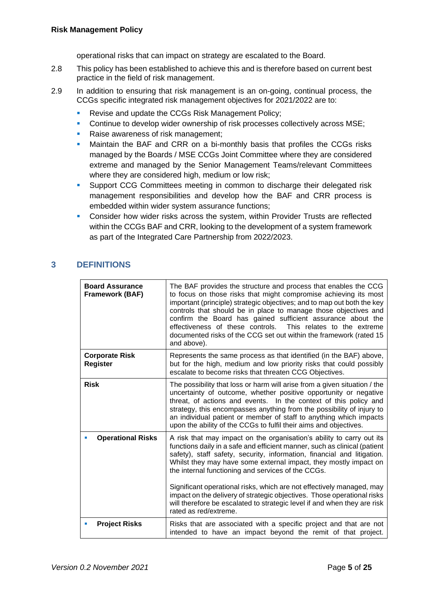operational risks that can impact on strategy are escalated to the Board.

- 2.8 This policy has been established to achieve this and is therefore based on current best practice in the field of risk management.
- 2.9 In addition to ensuring that risk management is an on-going, continual process, the CCGs specific integrated risk management objectives for 2021/2022 are to:
	- **Revise and update the CCGs Risk Management Policy;**
	- **Continue to develop wider ownership of risk processes collectively across MSE;**
	- Raise awareness of risk management;
	- **■** Maintain the BAF and CRR on a bi-monthly basis that profiles the CCGs risks managed by the Boards / MSE CCGs Joint Committee where they are considered extreme and managed by the Senior Management Teams/relevant Committees where they are considered high, medium or low risk;
	- **Support CCG Committees meeting in common to discharge their delegated risk** management responsibilities and develop how the BAF and CRR process is embedded within wider system assurance functions;
	- **Consider how wider risks across the system, within Provider Trusts are reflected** within the CCGs BAF and CRR, looking to the development of a system framework as part of the Integrated Care Partnership from 2022/2023.

# **3 DEFINITIONS**

| <b>Board Assurance</b><br><b>Framework (BAF)</b> | The BAF provides the structure and process that enables the CCG<br>to focus on those risks that might compromise achieving its most<br>important (principle) strategic objectives; and to map out both the key<br>controls that should be in place to manage those objectives and<br>confirm the Board has gained sufficient assurance about the<br>effectiveness of these controls. This relates to the extreme<br>documented risks of the CCG set out within the framework (rated 15<br>and above). |
|--------------------------------------------------|-------------------------------------------------------------------------------------------------------------------------------------------------------------------------------------------------------------------------------------------------------------------------------------------------------------------------------------------------------------------------------------------------------------------------------------------------------------------------------------------------------|
| <b>Corporate Risk</b><br><b>Register</b>         | Represents the same process as that identified (in the BAF) above,<br>but for the high, medium and low priority risks that could possibly<br>escalate to become risks that threaten CCG Objectives.                                                                                                                                                                                                                                                                                                   |
| <b>Risk</b>                                      | The possibility that loss or harm will arise from a given situation / the<br>uncertainty of outcome, whether positive opportunity or negative<br>threat, of actions and events. In the context of this policy and<br>strategy, this encompasses anything from the possibility of injury to<br>an individual patient or member of staff to anything which impacts<br>upon the ability of the CCGs to fulfil their aims and objectives.                                                                 |
| <b>Operational Risks</b>                         | A risk that may impact on the organisation's ability to carry out its<br>functions daily in a safe and efficient manner, such as clinical (patient<br>safety), staff safety, security, information, financial and litigation.<br>Whilst they may have some external impact, they mostly impact on<br>the internal functioning and services of the CCGs.<br>Significant operational risks, which are not effectively managed, may                                                                      |
|                                                  | impact on the delivery of strategic objectives. Those operational risks<br>will therefore be escalated to strategic level if and when they are risk<br>rated as red/extreme.                                                                                                                                                                                                                                                                                                                          |
| <b>Project Risks</b>                             | Risks that are associated with a specific project and that are not<br>intended to have an impact beyond the remit of that project.                                                                                                                                                                                                                                                                                                                                                                    |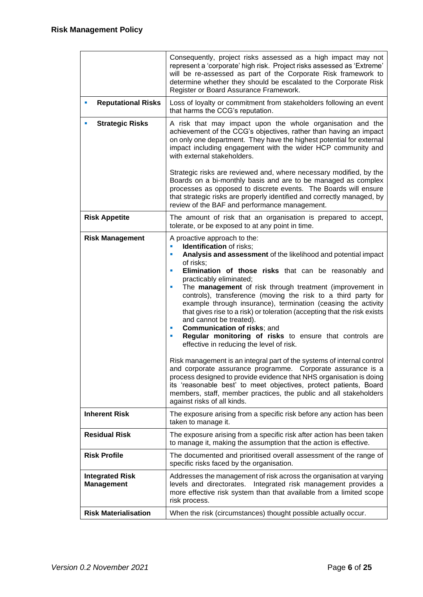|                                             | Consequently, project risks assessed as a high impact may not<br>represent a 'corporate' high risk. Project risks assessed as 'Extreme'<br>will be re-assessed as part of the Corporate Risk framework to<br>determine whether they should be escalated to the Corporate Risk<br>Register or Board Assurance Framework.                                                                                                                                                                                                                                                                                                                                                                                                                                                                                                                                                                                                                                                                                                                                                                                      |  |  |  |  |
|---------------------------------------------|--------------------------------------------------------------------------------------------------------------------------------------------------------------------------------------------------------------------------------------------------------------------------------------------------------------------------------------------------------------------------------------------------------------------------------------------------------------------------------------------------------------------------------------------------------------------------------------------------------------------------------------------------------------------------------------------------------------------------------------------------------------------------------------------------------------------------------------------------------------------------------------------------------------------------------------------------------------------------------------------------------------------------------------------------------------------------------------------------------------|--|--|--|--|
| <b>Reputational Risks</b>                   | Loss of loyalty or commitment from stakeholders following an event<br>that harms the CCG's reputation.                                                                                                                                                                                                                                                                                                                                                                                                                                                                                                                                                                                                                                                                                                                                                                                                                                                                                                                                                                                                       |  |  |  |  |
| <b>Strategic Risks</b>                      | A risk that may impact upon the whole organisation and the<br>achievement of the CCG's objectives, rather than having an impact<br>on only one department. They have the highest potential for external<br>impact including engagement with the wider HCP community and<br>with external stakeholders.                                                                                                                                                                                                                                                                                                                                                                                                                                                                                                                                                                                                                                                                                                                                                                                                       |  |  |  |  |
|                                             | Strategic risks are reviewed and, where necessary modified, by the<br>Boards on a bi-monthly basis and are to be managed as complex<br>processes as opposed to discrete events. The Boards will ensure<br>that strategic risks are properly identified and correctly managed, by<br>review of the BAF and performance management.                                                                                                                                                                                                                                                                                                                                                                                                                                                                                                                                                                                                                                                                                                                                                                            |  |  |  |  |
| <b>Risk Appetite</b>                        | The amount of risk that an organisation is prepared to accept,<br>tolerate, or be exposed to at any point in time.                                                                                                                                                                                                                                                                                                                                                                                                                                                                                                                                                                                                                                                                                                                                                                                                                                                                                                                                                                                           |  |  |  |  |
| <b>Risk Management</b>                      | A proactive approach to the:<br><b>Identification</b> of risks;<br>ш<br>Analysis and assessment of the likelihood and potential impact<br>a.<br>of risks;<br>Elimination of those risks that can be reasonably and<br>ш<br>practicably eliminated;<br>The management of risk through treatment (improvement in<br>ш<br>controls), transference (moving the risk to a third party for<br>example through insurance), termination (ceasing the activity<br>that gives rise to a risk) or toleration (accepting that the risk exists<br>and cannot be treated).<br><b>Communication of risks; and</b><br>ш<br>Regular monitoring of risks to ensure that controls are<br>ш<br>effective in reducing the level of risk.<br>Risk management is an integral part of the systems of internal control<br>and corporate assurance programme. Corporate assurance is a<br>process designed to provide evidence that NHS organisation is doing<br>its 'reasonable best' to meet objectives, protect patients, Board<br>members, staff, member practices, the public and all stakeholders<br>against risks of all kinds. |  |  |  |  |
| <b>Inherent Risk</b>                        | The exposure arising from a specific risk before any action has been<br>taken to manage it.                                                                                                                                                                                                                                                                                                                                                                                                                                                                                                                                                                                                                                                                                                                                                                                                                                                                                                                                                                                                                  |  |  |  |  |
| <b>Residual Risk</b>                        | The exposure arising from a specific risk after action has been taken<br>to manage it, making the assumption that the action is effective.                                                                                                                                                                                                                                                                                                                                                                                                                                                                                                                                                                                                                                                                                                                                                                                                                                                                                                                                                                   |  |  |  |  |
| <b>Risk Profile</b>                         | The documented and prioritised overall assessment of the range of<br>specific risks faced by the organisation.                                                                                                                                                                                                                                                                                                                                                                                                                                                                                                                                                                                                                                                                                                                                                                                                                                                                                                                                                                                               |  |  |  |  |
| <b>Integrated Risk</b><br><b>Management</b> | Addresses the management of risk across the organisation at varying<br>levels and directorates. Integrated risk management provides a<br>more effective risk system than that available from a limited scope<br>risk process.                                                                                                                                                                                                                                                                                                                                                                                                                                                                                                                                                                                                                                                                                                                                                                                                                                                                                |  |  |  |  |
| <b>Risk Materialisation</b>                 | When the risk (circumstances) thought possible actually occur.                                                                                                                                                                                                                                                                                                                                                                                                                                                                                                                                                                                                                                                                                                                                                                                                                                                                                                                                                                                                                                               |  |  |  |  |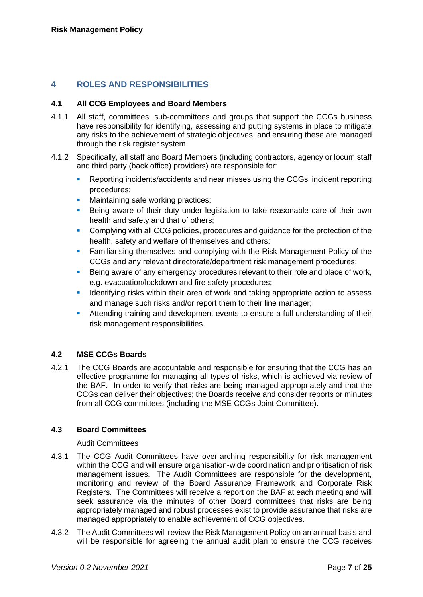## **4 ROLES AND RESPONSIBILITIES**

#### **4.1 All CCG Employees and Board Members**

- 4.1.1 All staff, committees, sub-committees and groups that support the CCGs business have responsibility for identifying, assessing and putting systems in place to mitigate any risks to the achievement of strategic objectives, and ensuring these are managed through the risk register system.
- 4.1.2 Specifically, all staff and Board Members (including contractors, agency or locum staff and third party (back office) providers) are responsible for:
	- Reporting incidents/accidents and near misses using the CCGs' incident reporting procedures;
	- Maintaining safe working practices;
	- **E** Being aware of their duty under legislation to take reasonable care of their own health and safety and that of others;
	- Complying with all CCG policies, procedures and guidance for the protection of the health, safety and welfare of themselves and others;
	- **EXECT** Familiarising themselves and complying with the Risk Management Policy of the CCGs and any relevant directorate/department risk management procedures;
	- Being aware of any emergency procedures relevant to their role and place of work, e.g. evacuation/lockdown and fire safety procedures;
	- **EXECT** Identifying risks within their area of work and taking appropriate action to assess and manage such risks and/or report them to their line manager;
	- **EXTENDING 15 Attending training and development events to ensure a full understanding of their** risk management responsibilities.

## **4.2 MSE CCGs Boards**

4.2.1 The CCG Boards are accountable and responsible for ensuring that the CCG has an effective programme for managing all types of risks, which is achieved via review of the BAF. In order to verify that risks are being managed appropriately and that the CCGs can deliver their objectives; the Boards receive and consider reports or minutes from all CCG committees (including the MSE CCGs Joint Committee).

## **4.3 Board Committees**

#### Audit Committees

- 4.3.1 The CCG Audit Committees have over-arching responsibility for risk management within the CCG and will ensure organisation-wide coordination and prioritisation of risk management issues. The Audit Committees are responsible for the development, monitoring and review of the Board Assurance Framework and Corporate Risk Registers. The Committees will receive a report on the BAF at each meeting and will seek assurance via the minutes of other Board committees that risks are being appropriately managed and robust processes exist to provide assurance that risks are managed appropriately to enable achievement of CCG objectives.
- 4.3.2 The Audit Committees will review the Risk Management Policy on an annual basis and will be responsible for agreeing the annual audit plan to ensure the CCG receives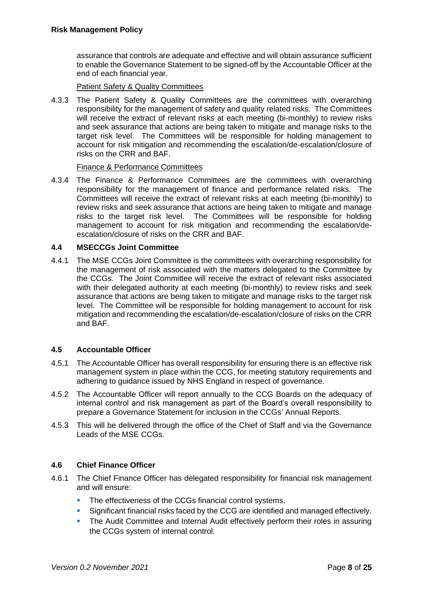assurance that controls are adequate and effective and will obtain assurance sufficient to enable the Governance Statement to be signed-off by the Accountable Officer at the end of each financial year.

Patient Safety & Quality Committees

4.3.3 The Patient Safety & Quality Committees are the committees with overarching responsibility for the management of safety and quality related risks. The Committees will receive the extract of relevant risks at each meeting (bi-monthly) to review risks and seek assurance that actions are being taken to mitigate and manage risks to the target risk level. The Committees will be responsible for holding management to account for risk mitigation and recommending the escalation/de-escalation/closure of risks on the CRR and BAF.

## Finance & Performance Committees

4.3.4 The Finance & Performance Committees are the committees with overarching responsibility for the management of finance and performance related risks. The Committees will receive the extract of relevant risks at each meeting (bi-monthly) to review risks and seek assurance that actions are being taken to mitigate and manage risks to the target risk level. The Committees will be responsible for holding management to account for risk mitigation and recommending the escalation/deescalation/closure of risks on the CRR and BAF.

## **4.4 MSECCGs Joint Committee**

4.4.1 The MSE CCGs Joint Committee is the committees with overarching responsibility for the management of risk associated with the matters delegated to the Committee by the CCGs. The Joint Committee will receive the extract of relevant risks associated with their delegated authority at each meeting (bi-monthly) to review risks and seek assurance that actions are being taken to mitigate and manage risks to the target risk level. The Committee will be responsible for holding management to account for risk mitigation and recommending the escalation/de-escalation/closure of risks on the CRR and BAF.

## **4.5 Accountable Officer**

- 4.5.1 The Accountable Officer has overall responsibility for ensuring there is an effective risk management system in place within the CCG, for meeting statutory requirements and adhering to guidance issued by NHS England in respect of governance.
- 4.5.2 The Accountable Officer will report annually to the CCG Boards on the adequacy of internal control and risk management as part of the Board's overall responsibility to prepare a Governance Statement for inclusion in the CCGs' Annual Reports.
- 4.5.3 This will be delivered through the office of the Chief of Staff and via the Governance Leads of the MSE CCGs.

## **4.6 Chief Finance Officer**

- 4.6.1 The Chief Finance Officer has delegated responsibility for financial risk management and will ensure:
	- The effectiveness of the CCGs financial control systems.
	- **EXECUTE:** Significant financial risks faced by the CCG are identified and managed effectively.
	- **The Audit Committee and Internal Audit effectively perform their roles in assuring** the CCGs system of internal control.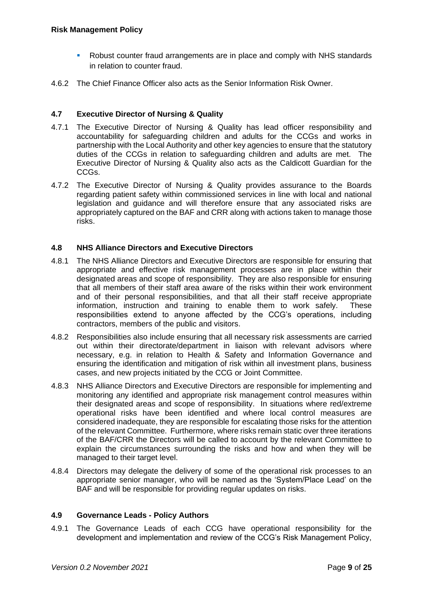- Robust counter fraud arrangements are in place and comply with NHS standards in relation to counter fraud.
- 4.6.2 The Chief Finance Officer also acts as the Senior Information Risk Owner.

## **4.7 Executive Director of Nursing & Quality**

- 4.7.1 The Executive Director of Nursing & Quality has lead officer responsibility and accountability for safeguarding children and adults for the CCGs and works in partnership with the Local Authority and other key agencies to ensure that the statutory duties of the CCGs in relation to safeguarding children and adults are met. The Executive Director of Nursing & Quality also acts as the Caldicott Guardian for the CCGs.
- 4.7.2 The Executive Director of Nursing & Quality provides assurance to the Boards regarding patient safety within commissioned services in line with local and national legislation and guidance and will therefore ensure that any associated risks are appropriately captured on the BAF and CRR along with actions taken to manage those risks.

## **4.8 NHS Alliance Directors and Executive Directors**

- 4.8.1 The NHS Alliance Directors and Executive Directors are responsible for ensuring that appropriate and effective risk management processes are in place within their designated areas and scope of responsibility. They are also responsible for ensuring that all members of their staff area aware of the risks within their work environment and of their personal responsibilities, and that all their staff receive appropriate information, instruction and training to enable them to work safely. These responsibilities extend to anyone affected by the CCG's operations, including contractors, members of the public and visitors.
- 4.8.2 Responsibilities also include ensuring that all necessary risk assessments are carried out within their directorate/department in liaison with relevant advisors where necessary, e.g. in relation to Health & Safety and Information Governance and ensuring the identification and mitigation of risk within all investment plans, business cases, and new projects initiated by the CCG or Joint Committee.
- 4.8.3 NHS Alliance Directors and Executive Directors are responsible for implementing and monitoring any identified and appropriate risk management control measures within their designated areas and scope of responsibility. In situations where red/extreme operational risks have been identified and where local control measures are considered inadequate, they are responsible for escalating those risks for the attention of the relevant Committee. Furthermore, where risks remain static over three iterations of the BAF/CRR the Directors will be called to account by the relevant Committee to explain the circumstances surrounding the risks and how and when they will be managed to their target level.
- 4.8.4 Directors may delegate the delivery of some of the operational risk processes to an appropriate senior manager, who will be named as the 'System/Place Lead' on the BAF and will be responsible for providing regular updates on risks.

#### **4.9 Governance Leads - Policy Authors**

4.9.1 The Governance Leads of each CCG have operational responsibility for the development and implementation and review of the CCG's Risk Management Policy,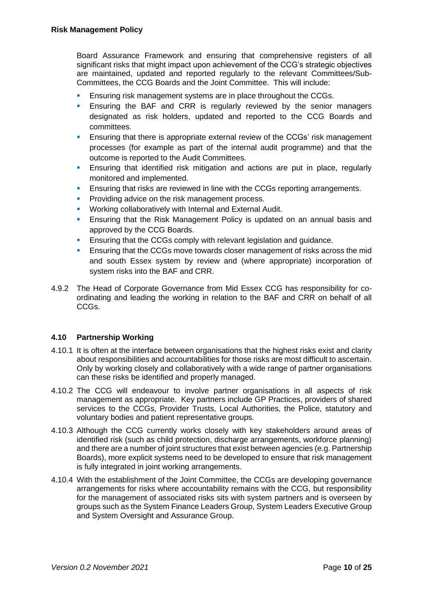Board Assurance Framework and ensuring that comprehensive registers of all significant risks that might impact upon achievement of the CCG's strategic objectives are maintained, updated and reported regularly to the relevant Committees/Sub-Committees, the CCG Boards and the Joint Committee. This will include:

- Ensuring risk management systems are in place throughout the CCGs.
- **Ensuring the BAF and CRR is regularly reviewed by the senior managers** designated as risk holders, updated and reported to the CCG Boards and committees.
- **E** Ensuring that there is appropriate external review of the CCGs' risk management processes (for example as part of the internal audit programme) and that the outcome is reported to the Audit Committees.
- **Ensuring that identified risk mitigation and actions are put in place, regularly** monitored and implemented.
- **Ensuring that risks are reviewed in line with the CCGs reporting arrangements.**
- Providing advice on the risk management process.
- Working collaboratively with Internal and External Audit.
- Ensuring that the Risk Management Policy is updated on an annual basis and approved by the CCG Boards.
- **Ensuring that the CCGs comply with relevant legislation and guidance.**
- **Ensuring that the CCGs move towards closer management of risks across the mid.** and south Essex system by review and (where appropriate) incorporation of system risks into the BAF and CRR.
- 4.9.2 The Head of Corporate Governance from Mid Essex CCG has responsibility for coordinating and leading the working in relation to the BAF and CRR on behalf of all CCGs.

## **4.10 Partnership Working**

- 4.10.1 It is often at the interface between organisations that the highest risks exist and clarity about responsibilities and accountabilities for those risks are most difficult to ascertain. Only by working closely and collaboratively with a wide range of partner organisations can these risks be identified and properly managed.
- 4.10.2 The CCG will endeavour to involve partner organisations in all aspects of risk management as appropriate. Key partners include GP Practices, providers of shared services to the CCGs, Provider Trusts, Local Authorities, the Police, statutory and voluntary bodies and patient representative groups.
- 4.10.3 Although the CCG currently works closely with key stakeholders around areas of identified risk (such as child protection, discharge arrangements, workforce planning) and there are a number of joint structures that exist between agencies (e.g. Partnership Boards), more explicit systems need to be developed to ensure that risk management is fully integrated in joint working arrangements.
- 4.10.4 With the establishment of the Joint Committee, the CCGs are developing governance arrangements for risks where accountability remains with the CCG, but responsibility for the management of associated risks sits with system partners and is overseen by groups such as the System Finance Leaders Group, System Leaders Executive Group and System Oversight and Assurance Group.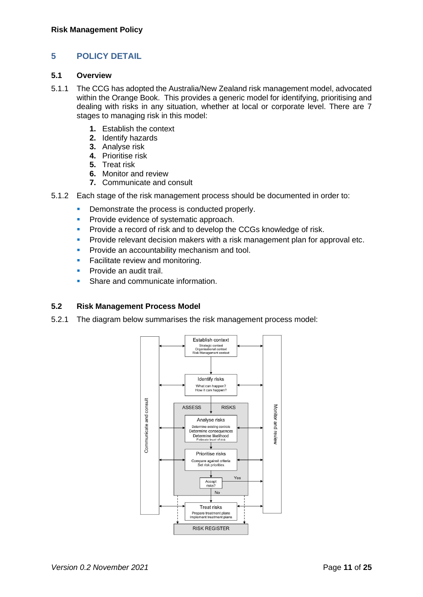## **5 POLICY DETAIL**

#### **5.1 Overview**

- 5.1.1 The CCG has adopted the Australia/New Zealand risk management model, advocated within the Orange Book. This provides a generic model for identifying, prioritising and dealing with risks in any situation, whether at local or corporate level. There are 7 stages to managing risk in this model:
	- **1.** Establish the context
	- **2.** Identify hazards
	- **3.** Analyse risk
	- **4.** Prioritise risk
	- **5.** Treat risk
	- **6.** Monitor and review
	- **7.** Communicate and consult
- 5.1.2 Each stage of the risk management process should be documented in order to:
	- **Demonstrate the process is conducted properly.**
	- **•** Provide evidence of systematic approach.
	- **Provide a record of risk and to develop the CCGs knowledge of risk.**
	- **Provide relevant decision makers with a risk management plan for approval etc.**
	- **Provide an accountability mechanism and tool.**
	- **EXEC** Facilitate review and monitoring.
	- Provide an audit trail.
	- Share and communicate information.

## **5.2 Risk Management Process Model**

5.2.1 The diagram below summarises the risk management process model:

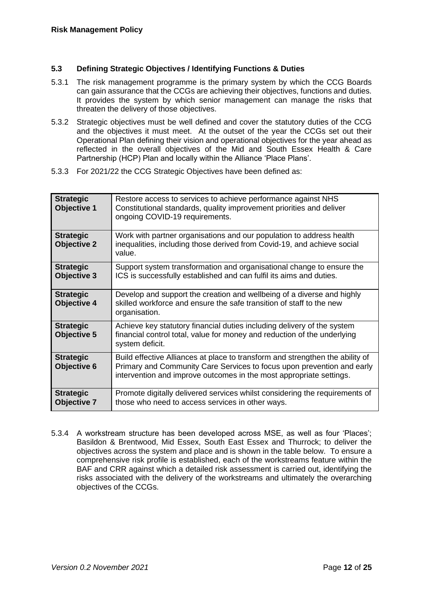## **5.3 Defining Strategic Objectives / Identifying Functions & Duties**

- 5.3.1 The risk management programme is the primary system by which the CCG Boards can gain assurance that the CCGs are achieving their objectives, functions and duties. It provides the system by which senior management can manage the risks that threaten the delivery of those objectives.
- 5.3.2 Strategic objectives must be well defined and cover the statutory duties of the CCG and the objectives it must meet. At the outset of the year the CCGs set out their Operational Plan defining their vision and operational objectives for the year ahead as reflected in the overall objectives of the Mid and South Essex Health & Care Partnership (HCP) Plan and locally within the Alliance 'Place Plans'.
- 5.3.3 For 2021/22 the CCG Strategic Objectives have been defined as:

| <b>Strategic</b><br><b>Objective 1</b> | Restore access to services to achieve performance against NHS<br>Constitutional standards, quality improvement priorities and deliver<br>ongoing COVID-19 requirements.                                                        |
|----------------------------------------|--------------------------------------------------------------------------------------------------------------------------------------------------------------------------------------------------------------------------------|
| <b>Strategic</b><br><b>Objective 2</b> | Work with partner organisations and our population to address health<br>inequalities, including those derived from Covid-19, and achieve social<br>value.                                                                      |
| <b>Strategic</b><br><b>Objective 3</b> | Support system transformation and organisational change to ensure the<br>ICS is successfully established and can fulfil its aims and duties.                                                                                   |
| <b>Strategic</b><br><b>Objective 4</b> | Develop and support the creation and wellbeing of a diverse and highly<br>skilled workforce and ensure the safe transition of staff to the new<br>organisation.                                                                |
| <b>Strategic</b><br><b>Objective 5</b> | Achieve key statutory financial duties including delivery of the system<br>financial control total, value for money and reduction of the underlying<br>system deficit.                                                         |
| <b>Strategic</b><br><b>Objective 6</b> | Build effective Alliances at place to transform and strengthen the ability of<br>Primary and Community Care Services to focus upon prevention and early<br>intervention and improve outcomes in the most appropriate settings. |
| <b>Strategic</b><br><b>Objective 7</b> | Promote digitally delivered services whilst considering the requirements of<br>those who need to access services in other ways.                                                                                                |

5.3.4 A workstream structure has been developed across MSE, as well as four 'Places'; Basildon & Brentwood, Mid Essex, South East Essex and Thurrock; to deliver the objectives across the system and place and is shown in the table below. To ensure a comprehensive risk profile is established, each of the workstreams feature within the BAF and CRR against which a detailed risk assessment is carried out, identifying the risks associated with the delivery of the workstreams and ultimately the overarching objectives of the CCGs.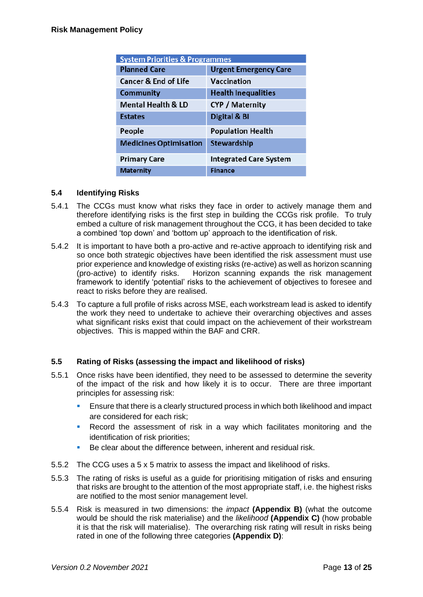| <b>System Priorities &amp; Programmes</b> |                               |  |  |  |
|-------------------------------------------|-------------------------------|--|--|--|
| <b>Planned Care</b>                       | <b>Urgent Emergency Care</b>  |  |  |  |
| <b>Cancer &amp; End of Life</b>           | Vaccination                   |  |  |  |
| <b>Community</b>                          | <b>Health Inequalities</b>    |  |  |  |
| <b>Mental Health &amp; LD</b>             | <b>CYP</b> / Maternity        |  |  |  |
| <b>Estates</b>                            | Digital & BI                  |  |  |  |
| People                                    | <b>Population Health</b>      |  |  |  |
| <b>Medicines Optimisation</b>             | Stewardship                   |  |  |  |
| <b>Primary Care</b>                       | <b>Integrated Care System</b> |  |  |  |
| <b>Maternity</b>                          | <b>Finance</b>                |  |  |  |

## **5.4 Identifying Risks**

- 5.4.1 The CCGs must know what risks they face in order to actively manage them and therefore identifying risks is the first step in building the CCGs risk profile. To truly embed a culture of risk management throughout the CCG, it has been decided to take a combined 'top down' and 'bottom up' approach to the identification of risk.
- 5.4.2 It is important to have both a pro-active and re-active approach to identifying risk and so once both strategic objectives have been identified the risk assessment must use prior experience and knowledge of existing risks (re-active) as well as horizon scanning (pro-active) to identify risks. Horizon scanning expands the risk management framework to identify 'potential' risks to the achievement of objectives to foresee and react to risks before they are realised.
- 5.4.3 To capture a full profile of risks across MSE, each workstream lead is asked to identify the work they need to undertake to achieve their overarching objectives and asses what significant risks exist that could impact on the achievement of their workstream objectives. This is mapped within the BAF and CRR.

## **5.5 Rating of Risks (assessing the impact and likelihood of risks)**

- 5.5.1 Once risks have been identified, they need to be assessed to determine the severity of the impact of the risk and how likely it is to occur. There are three important principles for assessing risk:
	- Ensure that there is a clearly structured process in which both likelihood and impact are considered for each risk;
	- Record the assessment of risk in a way which facilitates monitoring and the identification of risk priorities;
	- Be clear about the difference between, inherent and residual risk.
- 5.5.2 The CCG uses a 5 x 5 matrix to assess the impact and likelihood of risks.
- 5.5.3 The rating of risks is useful as a guide for prioritising mitigation of risks and ensuring that risks are brought to the attention of the most appropriate staff, i.e. the highest risks are notified to the most senior management level.
- 5.5.4 Risk is measured in two dimensions: the *impact* **(Appendix B)** (what the outcome would be should the risk materialise) and the *likelihood* **(Appendix C)** (how probable it is that the risk will materialise). The overarching risk rating will result in risks being rated in one of the following three categories **(Appendix D)**: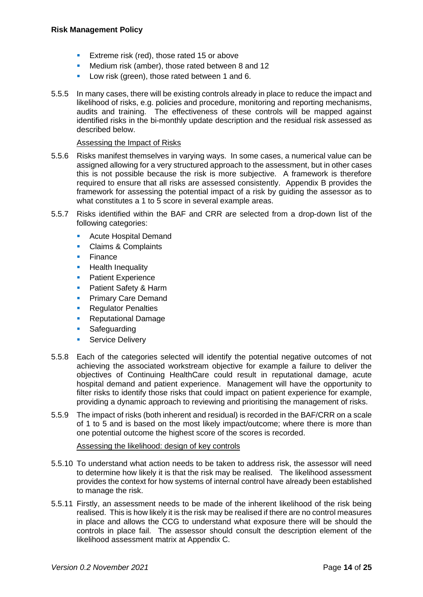- Extreme risk (red), those rated 15 or above
- Medium risk (amber), those rated between 8 and 12
- Low risk (green), those rated between 1 and 6.
- 5.5.5 In many cases, there will be existing controls already in place to reduce the impact and likelihood of risks, e.g. policies and procedure, monitoring and reporting mechanisms, audits and training. The effectiveness of these controls will be mapped against identified risks in the bi-monthly update description and the residual risk assessed as described below.

#### Assessing the Impact of Risks

- 5.5.6 Risks manifest themselves in varying ways. In some cases, a numerical value can be assigned allowing for a very structured approach to the assessment, but in other cases this is not possible because the risk is more subjective. A framework is therefore required to ensure that all risks are assessed consistently. Appendix B provides the framework for assessing the potential impact of a risk by guiding the assessor as to what constitutes a 1 to 5 score in several example areas.
- 5.5.7 Risks identified within the BAF and CRR are selected from a drop-down list of the following categories:
	- Acute Hospital Demand
	- Claims & Complaints
	- Finance
	- **Health Inequality**
	- **•** Patient Experience
	- Patient Safety & Harm
	- **Primary Care Demand**
	- Regulator Penalties
	- **Reputational Damage**
	- Safeguarding
	- **•** Service Delivery
- 5.5.8 Each of the categories selected will identify the potential negative outcomes of not achieving the associated workstream objective for example a failure to deliver the objectives of Continuing HealthCare could result in reputational damage, acute hospital demand and patient experience. Management will have the opportunity to filter risks to identify those risks that could impact on patient experience for example, providing a dynamic approach to reviewing and prioritising the management of risks.
- 5.5.9 The impact of risks (both inherent and residual) is recorded in the BAF/CRR on a scale of 1 to 5 and is based on the most likely impact/outcome; where there is more than one potential outcome the highest score of the scores is recorded.

#### Assessing the likelihood: design of key controls

- 5.5.10 To understand what action needs to be taken to address risk, the assessor will need to determine how likely it is that the risk may be realised. The likelihood assessment provides the context for how systems of internal control have already been established to manage the risk.
- 5.5.11 Firstly, an assessment needs to be made of the inherent likelihood of the risk being realised. This is how likely it is the risk may be realised if there are no control measures in place and allows the CCG to understand what exposure there will be should the controls in place fail. The assessor should consult the description element of the likelihood assessment matrix at Appendix C.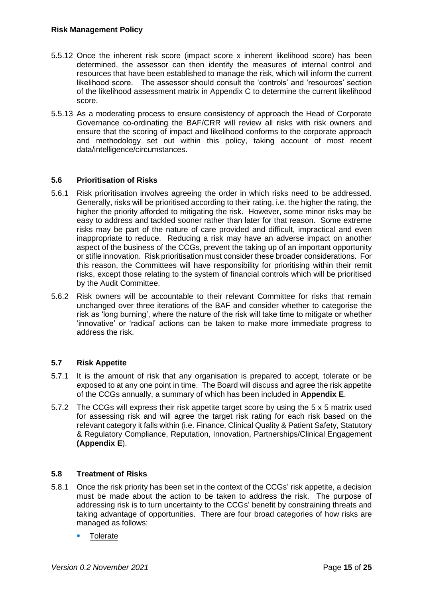- 5.5.12 Once the inherent risk score (impact score x inherent likelihood score) has been determined, the assessor can then identify the measures of internal control and resources that have been established to manage the risk, which will inform the current likelihood score. The assessor should consult the 'controls' and 'resources' section of the likelihood assessment matrix in Appendix C to determine the current likelihood score.
- 5.5.13 As a moderating process to ensure consistency of approach the Head of Corporate Governance co-ordinating the BAF/CRR will review all risks with risk owners and ensure that the scoring of impact and likelihood conforms to the corporate approach and methodology set out within this policy, taking account of most recent data/intelligence/circumstances.

## **5.6 Prioritisation of Risks**

- 5.6.1 Risk prioritisation involves agreeing the order in which risks need to be addressed. Generally, risks will be prioritised according to their rating, i.e. the higher the rating, the higher the priority afforded to mitigating the risk. However, some minor risks may be easy to address and tackled sooner rather than later for that reason. Some extreme risks may be part of the nature of care provided and difficult, impractical and even inappropriate to reduce. Reducing a risk may have an adverse impact on another aspect of the business of the CCGs, prevent the taking up of an important opportunity or stifle innovation. Risk prioritisation must consider these broader considerations. For this reason, the Committees will have responsibility for prioritising within their remit risks, except those relating to the system of financial controls which will be prioritised by the Audit Committee.
- 5.6.2 Risk owners will be accountable to their relevant Committee for risks that remain unchanged over three iterations of the BAF and consider whether to categorise the risk as 'long burning', where the nature of the risk will take time to mitigate or whether 'innovative' or 'radical' actions can be taken to make more immediate progress to address the risk.

## **5.7 Risk Appetite**

- 5.7.1 It is the amount of risk that any organisation is prepared to accept, tolerate or be exposed to at any one point in time. The Board will discuss and agree the risk appetite of the CCGs annually, a summary of which has been included in **Appendix E**.
- 5.7.2 The CCGs will express their risk appetite target score by using the 5 x 5 matrix used for assessing risk and will agree the target risk rating for each risk based on the relevant category it falls within (i.e. Finance, Clinical Quality & Patient Safety, Statutory & Regulatory Compliance, Reputation, Innovation, Partnerships/Clinical Engagement **(Appendix E**).

## **5.8 Treatment of Risks**

- 5.8.1 Once the risk priority has been set in the context of the CCGs' risk appetite, a decision must be made about the action to be taken to address the risk. The purpose of addressing risk is to turn uncertainty to the CCGs' benefit by constraining threats and taking advantage of opportunities. There are four broad categories of how risks are managed as follows:
	- **Tolerate**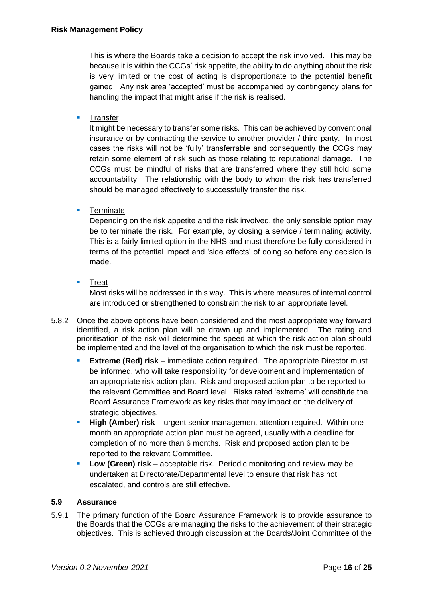This is where the Boards take a decision to accept the risk involved. This may be because it is within the CCGs' risk appetite, the ability to do anything about the risk is very limited or the cost of acting is disproportionate to the potential benefit gained. Any risk area 'accepted' must be accompanied by contingency plans for handling the impact that might arise if the risk is realised.

**E** Transfer

It might be necessary to transfer some risks. This can be achieved by conventional insurance or by contracting the service to another provider / third party. In most cases the risks will not be 'fully' transferrable and consequently the CCGs may retain some element of risk such as those relating to reputational damage. The CCGs must be mindful of risks that are transferred where they still hold some accountability. The relationship with the body to whom the risk has transferred should be managed effectively to successfully transfer the risk.

■ Terminate

Depending on the risk appetite and the risk involved, the only sensible option may be to terminate the risk. For example, by closing a service / terminating activity. This is a fairly limited option in the NHS and must therefore be fully considered in terms of the potential impact and 'side effects' of doing so before any decision is made.

■ Treat

Most risks will be addressed in this way. This is where measures of internal control are introduced or strengthened to constrain the risk to an appropriate level.

- 5.8.2 Once the above options have been considered and the most appropriate way forward identified, a risk action plan will be drawn up and implemented. The rating and prioritisation of the risk will determine the speed at which the risk action plan should be implemented and the level of the organisation to which the risk must be reported.
	- **Extreme (Red) risk** immediate action required. The appropriate Director must be informed, who will take responsibility for development and implementation of an appropriate risk action plan. Risk and proposed action plan to be reported to the relevant Committee and Board level. Risks rated 'extreme' will constitute the Board Assurance Framework as key risks that may impact on the delivery of strategic objectives.
	- **High (Amber) risk** urgent senior management attention required. Within one month an appropriate action plan must be agreed, usually with a deadline for completion of no more than 6 months. Risk and proposed action plan to be reported to the relevant Committee.
	- **Low (Green) risk** acceptable risk. Periodic monitoring and review may be undertaken at Directorate/Departmental level to ensure that risk has not escalated, and controls are still effective.

## **5.9 Assurance**

5.9.1 The primary function of the Board Assurance Framework is to provide assurance to the Boards that the CCGs are managing the risks to the achievement of their strategic objectives. This is achieved through discussion at the Boards/Joint Committee of the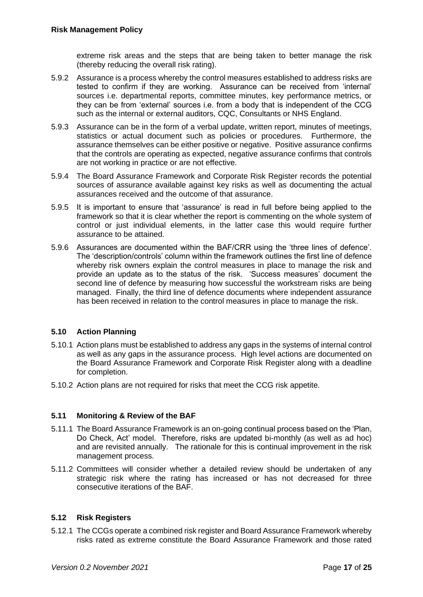extreme risk areas and the steps that are being taken to better manage the risk (thereby reducing the overall risk rating).

- 5.9.2 Assurance is a process whereby the control measures established to address risks are tested to confirm if they are working. Assurance can be received from 'internal' sources i.e. departmental reports, committee minutes, key performance metrics, or they can be from 'external' sources i.e. from a body that is independent of the CCG such as the internal or external auditors, CQC, Consultants or NHS England.
- 5.9.3 Assurance can be in the form of a verbal update, written report, minutes of meetings, statistics or actual document such as policies or procedures. Furthermore, the assurance themselves can be either positive or negative. Positive assurance confirms that the controls are operating as expected, negative assurance confirms that controls are not working in practice or are not effective.
- 5.9.4 The Board Assurance Framework and Corporate Risk Register records the potential sources of assurance available against key risks as well as documenting the actual assurances received and the outcome of that assurance.
- 5.9.5 It is important to ensure that 'assurance' is read in full before being applied to the framework so that it is clear whether the report is commenting on the whole system of control or just individual elements, in the latter case this would require further assurance to be attained.
- 5.9.6 Assurances are documented within the BAF/CRR using the 'three lines of defence'. The 'description/controls' column within the framework outlines the first line of defence whereby risk owners explain the control measures in place to manage the risk and provide an update as to the status of the risk. 'Success measures' document the second line of defence by measuring how successful the workstream risks are being managed. Finally, the third line of defence documents where independent assurance has been received in relation to the control measures in place to manage the risk.

## **5.10 Action Planning**

- 5.10.1 Action plans must be established to address any gaps in the systems of internal control as well as any gaps in the assurance process. High level actions are documented on the Board Assurance Framework and Corporate Risk Register along with a deadline for completion.
- 5.10.2 Action plans are not required for risks that meet the CCG risk appetite.

## **5.11 Monitoring & Review of the BAF**

- 5.11.1 The Board Assurance Framework is an on-going continual process based on the 'Plan, Do Check, Act' model. Therefore, risks are updated bi-monthly (as well as ad hoc) and are revisited annually. The rationale for this is continual improvement in the risk management process.
- 5.11.2 Committees will consider whether a detailed review should be undertaken of any strategic risk where the rating has increased or has not decreased for three consecutive iterations of the BAF.

## **5.12 Risk Registers**

5.12.1 The CCGs operate a combined risk register and Board Assurance Framework whereby risks rated as extreme constitute the Board Assurance Framework and those rated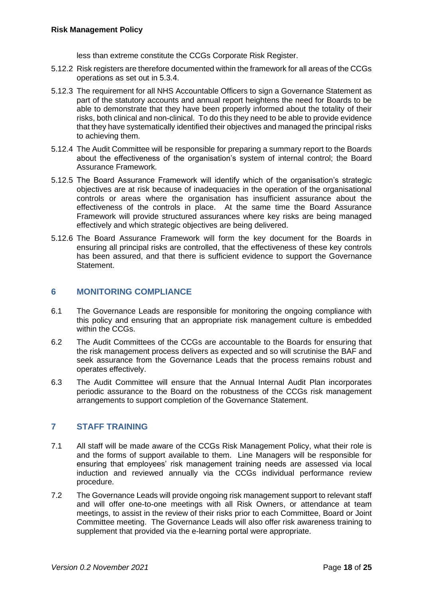less than extreme constitute the CCGs Corporate Risk Register.

- 5.12.2 Risk registers are therefore documented within the framework for all areas of the CCGs operations as set out in 5.3.4.
- 5.12.3 The requirement for all NHS Accountable Officers to sign a Governance Statement as part of the statutory accounts and annual report heightens the need for Boards to be able to demonstrate that they have been properly informed about the totality of their risks, both clinical and non-clinical. To do this they need to be able to provide evidence that they have systematically identified their objectives and managed the principal risks to achieving them.
- 5.12.4 The Audit Committee will be responsible for preparing a summary report to the Boards about the effectiveness of the organisation's system of internal control; the Board Assurance Framework.
- 5.12.5 The Board Assurance Framework will identify which of the organisation's strategic objectives are at risk because of inadequacies in the operation of the organisational controls or areas where the organisation has insufficient assurance about the effectiveness of the controls in place. At the same time the Board Assurance Framework will provide structured assurances where key risks are being managed effectively and which strategic objectives are being delivered.
- 5.12.6 The Board Assurance Framework will form the key document for the Boards in ensuring all principal risks are controlled, that the effectiveness of these key controls has been assured, and that there is sufficient evidence to support the Governance **Statement**

## **6 MONITORING COMPLIANCE**

- 6.1 The Governance Leads are responsible for monitoring the ongoing compliance with this policy and ensuring that an appropriate risk management culture is embedded within the CCGs.
- 6.2 The Audit Committees of the CCGs are accountable to the Boards for ensuring that the risk management process delivers as expected and so will scrutinise the BAF and seek assurance from the Governance Leads that the process remains robust and operates effectively.
- 6.3 The Audit Committee will ensure that the Annual Internal Audit Plan incorporates periodic assurance to the Board on the robustness of the CCGs risk management arrangements to support completion of the Governance Statement.

## **7 STAFF TRAINING**

- 7.1 All staff will be made aware of the CCGs Risk Management Policy, what their role is and the forms of support available to them. Line Managers will be responsible for ensuring that employees' risk management training needs are assessed via local induction and reviewed annually via the CCGs individual performance review procedure.
- 7.2 The Governance Leads will provide ongoing risk management support to relevant staff and will offer one-to-one meetings with all Risk Owners, or attendance at team meetings, to assist in the review of their risks prior to each Committee, Board or Joint Committee meeting. The Governance Leads will also offer risk awareness training to supplement that provided via the e-learning portal were appropriate.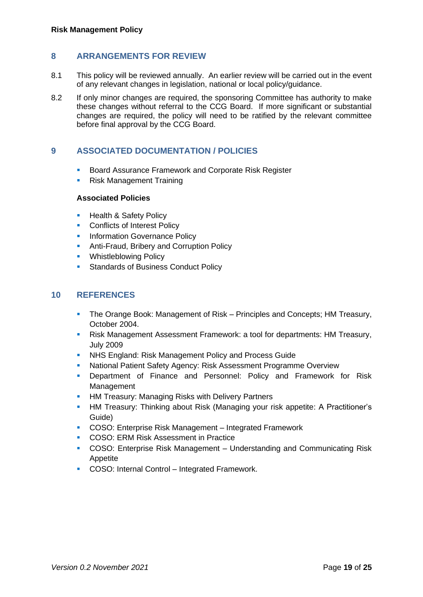## **8 ARRANGEMENTS FOR REVIEW**

- 8.1 This policy will be reviewed annually. An earlier review will be carried out in the event of any relevant changes in legislation, national or local policy/guidance.
- 8.2 If only minor changes are required, the sponsoring Committee has authority to make these changes without referral to the CCG Board. If more significant or substantial changes are required, the policy will need to be ratified by the relevant committee before final approval by the CCG Board.

## **9 ASSOCIATED DOCUMENTATION / POLICIES**

- Board Assurance Framework and Corporate Risk Register
- Risk Management Training

#### **Associated Policies**

- **Health & Safety Policy**
- Conflicts of Interest Policy
- **Information Governance Policy**
- **E** Anti-Fraud, Bribery and Corruption Policy
- **Whistleblowing Policy**
- **Standards of Business Conduct Policy**

## **10 REFERENCES**

- **The Orange Book: Management of Risk Principles and Concepts; HM Treasury,** October 2004.
- Risk Management Assessment Framework: a tool for departments: HM Treasury, July 2009
- **NHS England: Risk Management Policy and Process Guide**
- National Patient Safety Agency: Risk Assessment Programme Overview
- **E** Department of Finance and Personnel: Policy and Framework for Risk Management
- **HM Treasury: Managing Risks with Delivery Partners**
- **HM Treasury: Thinking about Risk (Managing your risk appetite: A Practitioner's** Guide)
- COSO: Enterprise Risk Management Integrated Framework
- COSO: ERM Risk Assessment in Practice
- COSO: Enterprise Risk Management Understanding and Communicating Risk Appetite
- COSO: Internal Control Integrated Framework.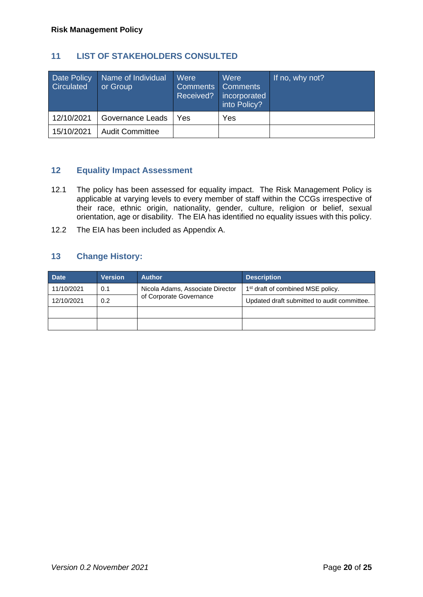## **11 LIST OF STAKEHOLDERS CONSULTED**

| <b>Date Policy</b><br>Circulated | Name of Individual<br>or Group | Were<br><b>Comments Comments</b><br>Received? | Were<br>incorporated<br>into Policy? | If no, why not? |
|----------------------------------|--------------------------------|-----------------------------------------------|--------------------------------------|-----------------|
| 12/10/2021                       | Governance Leads               | Yes                                           | Yes                                  |                 |
| 15/10/2021                       | <b>Audit Committee</b>         |                                               |                                      |                 |

## **12 Equality Impact Assessment**

- 12.1 The policy has been assessed for equality impact. The Risk Management Policy is applicable at varying levels to every member of staff within the CCGs irrespective of their race, ethnic origin, nationality, gender, culture, religion or belief, sexual orientation, age or disability. The EIA has identified no equality issues with this policy.
- 12.2 The EIA has been included as Appendix A.

## **13 Change History:**

| <b>Date</b> | <b>Version</b> | <b>Author</b>                    | <b>Description</b>                            |  |  |
|-------------|----------------|----------------------------------|-----------------------------------------------|--|--|
| 11/10/2021  | 0.1            | Nicola Adams, Associate Director | 1 <sup>st</sup> draft of combined MSE policy. |  |  |
| 12/10/2021  | 0.2            | of Corporate Governance          | Updated draft submitted to audit committee.   |  |  |
|             |                |                                  |                                               |  |  |
|             |                |                                  |                                               |  |  |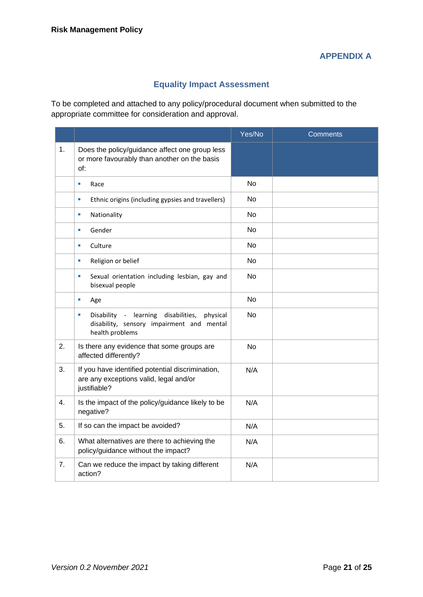# **APPENDIX A**

## **Equality Impact Assessment**

To be completed and attached to any policy/procedural document when submitted to the appropriate committee for consideration and approval.

|    |                                                                                                                                   | Yes/No         | <b>Comments</b> |
|----|-----------------------------------------------------------------------------------------------------------------------------------|----------------|-----------------|
| 1. | Does the policy/guidance affect one group less<br>or more favourably than another on the basis<br>of:                             |                |                 |
|    | Race<br>ш                                                                                                                         | <b>No</b>      |                 |
|    | Ethnic origins (including gypsies and travellers)<br>ш                                                                            | No.            |                 |
|    | Nationality<br>ш                                                                                                                  | <b>No</b>      |                 |
|    | Gender<br>$\blacksquare$                                                                                                          | <b>No</b>      |                 |
|    | Culture<br>ш                                                                                                                      | <b>No</b>      |                 |
|    | Religion or belief<br>×                                                                                                           | <b>No</b>      |                 |
|    | Sexual orientation including lesbian, gay and<br>ш<br>bisexual people                                                             | N <sub>o</sub> |                 |
|    | ×<br>Age                                                                                                                          | No             |                 |
|    | Disability - learning disabilities,<br>$\blacksquare$<br>physical<br>disability, sensory impairment and mental<br>health problems | No             |                 |
| 2. | Is there any evidence that some groups are<br>affected differently?                                                               | No             |                 |
| 3. | If you have identified potential discrimination,<br>are any exceptions valid, legal and/or<br>justifiable?                        | N/A            |                 |
| 4. | Is the impact of the policy/guidance likely to be<br>negative?                                                                    | N/A            |                 |
| 5. | If so can the impact be avoided?                                                                                                  | N/A            |                 |
| 6. | What alternatives are there to achieving the<br>policy/guidance without the impact?                                               | N/A            |                 |
| 7. | Can we reduce the impact by taking different<br>action?                                                                           | N/A            |                 |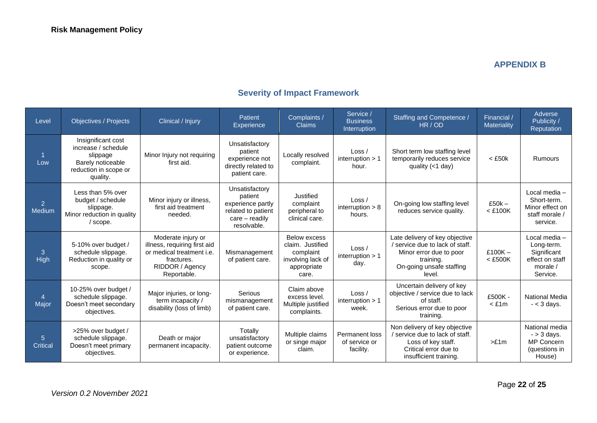## **APPENDIX B**

# **Severity of Impact Framework**

| Level                    | <b>Objectives / Projects</b>                                                                                    | Clinical / Injury                                                                                                               | <b>Patient</b><br>Experience                                                                            | Complaints /<br><b>Claims</b>                                                                     | Service /<br><b>Business</b><br>Interruption | Staffing and Competence /<br>HR / OD                                                                                                            | Financial /<br>Materiality | Adverse<br>Publicity /<br>Reputation                                                  |
|--------------------------|-----------------------------------------------------------------------------------------------------------------|---------------------------------------------------------------------------------------------------------------------------------|---------------------------------------------------------------------------------------------------------|---------------------------------------------------------------------------------------------------|----------------------------------------------|-------------------------------------------------------------------------------------------------------------------------------------------------|----------------------------|---------------------------------------------------------------------------------------|
| Low                      | Insignificant cost<br>increase / schedule<br>slippage<br>Barely noticeable<br>reduction in scope or<br>quality. | Minor Injury not requiring<br>first aid.                                                                                        | Unsatisfactory<br>patient<br>experience not<br>directly related to<br>patient care.                     | Locally resolved<br>complaint.                                                                    | Loss /<br>interruption $> 1$<br>hour.        | Short term low staffing level<br>temporarily reduces service<br>quality (<1 day)                                                                | $<$ £50 $k$                | <b>Rumours</b>                                                                        |
| $\overline{2}$<br>Medium | Less than 5% over<br>budget / schedule<br>slippage.<br>Minor reduction in quality<br>/ scope.                   | Minor injury or illness,<br>first aid treatment<br>needed.                                                                      | Unsatisfactory<br>patient<br>experience partly<br>related to patient<br>$care - readily$<br>resolvable. | Justified<br>complaint<br>peripheral to<br>clinical care.                                         | Loss /<br>interruption $> 8$<br>hours.       | On-going low staffing level<br>reduces service quality.                                                                                         | $£50k -$<br>$<$ £100K      | Local media -<br>Short-term.<br>Minor effect on<br>staff morale /<br>service.         |
| 3<br>High                | 5-10% over budget /<br>schedule slippage.<br>Reduction in quality or<br>scope.                                  | Moderate injury or<br>illness, requiring first aid<br>or medical treatment i.e.<br>fractures.<br>RIDDOR / Agency<br>Reportable. | Mismanagement<br>of patient care.                                                                       | <b>Below excess</b><br>claim. Justified<br>complaint<br>involving lack of<br>appropriate<br>care. | Loss/<br>interruption $> 1$<br>day.          | Late delivery of key objective<br>/ service due to lack of staff.<br>Minor error due to poor<br>training.<br>On-going unsafe staffing<br>level. | £100 $K -$<br>$<$ £500K    | Local media -<br>Long-term.<br>Significant<br>effect on staff<br>morale /<br>Service. |
| 4<br>Major               | 10-25% over budget /<br>schedule slippage.<br>Doesn't meet secondary<br>objectives.                             | Major injuries, or long-<br>term incapacity /<br>disability (loss of limb)                                                      | Serious<br>mismanagement<br>of patient care.                                                            | Claim above<br>excess level.<br>Multiple justified<br>complaints.                                 | Loss /<br>interruption $> 1$<br>week.        | Uncertain delivery of key<br>objective / service due to lack<br>of staff.<br>Serious error due to poor<br>training.                             | £500K -<br>$<$ £1 $m$      | <b>National Media</b><br>$- < 3$ days.                                                |
| 5<br><b>Critical</b>     | >25% over budget /<br>schedule slippage.<br>Doesn't meet primary<br>objectives.                                 | Death or major<br>permanent incapacity.                                                                                         | Totally<br>unsatisfactory<br>patient outcome<br>or experience.                                          | Multiple claims<br>or singe major<br>claim.                                                       | Permanent loss<br>of service or<br>facility. | Non delivery of key objective<br>/ service due to lack of staff.<br>Loss of key staff.<br>Critical error due to<br>insufficient training.       | >E1m                       | National media<br>$-$ > 3 days.<br><b>MP Concern</b><br>(questions in<br>House)       |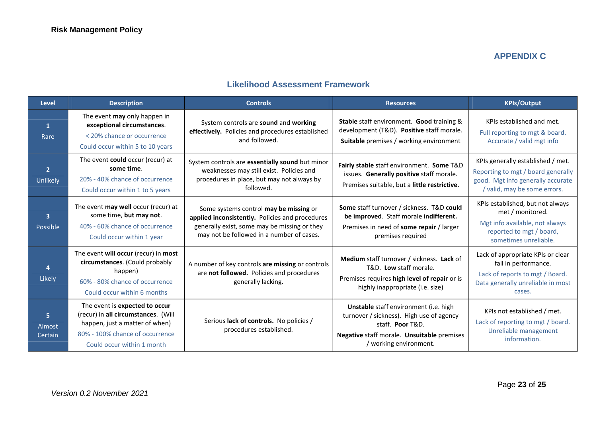## **APPENDIX C**

## **Likelihood Assessment Framework**

| <b>Level</b>                        | <b>Description</b>                                                                                                                                                       | <b>Controls</b>                                                                                                                                                                        | <b>Resources</b>                                                                                                                                                            | <b>KPIs/Output</b>                                                                                                                           |
|-------------------------------------|--------------------------------------------------------------------------------------------------------------------------------------------------------------------------|----------------------------------------------------------------------------------------------------------------------------------------------------------------------------------------|-----------------------------------------------------------------------------------------------------------------------------------------------------------------------------|----------------------------------------------------------------------------------------------------------------------------------------------|
| $\mathbf{1}$<br>Rare                | The event may only happen in<br>exceptional circumstances.<br>< 20% chance or occurrence<br>Could occur within 5 to 10 years                                             | System controls are sound and working<br>effectively. Policies and procedures established<br>and followed.                                                                             | Stable staff environment. Good training &<br>development (T&D). Positive staff morale.<br>Suitable premises / working environment                                           | KPIs established and met.<br>Full reporting to mgt & board.<br>Accurate / valid mgt info                                                     |
| $\overline{2}$<br>Unlikely          | The event could occur (recur) at<br>some time.<br>20% - 40% chance of occurrence<br>Could occur within 1 to 5 years                                                      | System controls are essentially sound but minor<br>weaknesses may still exist. Policies and<br>procedures in place, but may not always by<br>followed.                                 | Fairly stable staff environment. Some T&D<br>issues. Generally positive staff morale.<br>Premises suitable, but a little restrictive.                                       | KPIs generally established / met.<br>Reporting to mgt / board generally<br>good. Mgt info generally accurate<br>/ valid, may be some errors. |
| $\overline{\mathbf{3}}$<br>Possible | The event may well occur (recur) at<br>some time, but may not.<br>40% - 60% chance of occurrence<br>Could occur within 1 year                                            | Some systems control may be missing or<br>applied inconsistently. Policies and procedures<br>generally exist, some may be missing or they<br>may not be followed in a number of cases. | <b>Some staff turnover / sickness. T&amp;D could</b><br>be improved. Staff morale indifferent.<br>Premises in need of some repair / larger<br>premises required             | KPIs established, but not always<br>met / monitored.<br>Mgt info available, not always<br>reported to mgt / board,<br>sometimes unreliable.  |
| Likely                              | The event will occur (recur) in most<br>circumstances. (Could probably<br>happen)<br>60% - 80% chance of occurrence<br>Could occur within 6 months                       | A number of key controls are missing or controls<br>are not followed. Policies and procedures<br>generally lacking.                                                                    | Medium staff turnover / sickness. Lack of<br>T&D. Low staff morale.<br>Premises requires high level of repair or is<br>highly inappropriate (i.e. size)                     | Lack of appropriate KPIs or clear<br>fall in performance.<br>Lack of reports to mgt / Board.<br>Data generally unreliable in most<br>cases.  |
| 5.<br>Almost<br>Certain             | The event is expected to occur<br>(recur) in all circumstances. (Will<br>happen, just a matter of when)<br>80% - 100% chance of occurrence<br>Could occur within 1 month | Serious lack of controls. No policies /<br>procedures established.                                                                                                                     | Unstable staff environment (i.e. high<br>turnover / sickness). High use of agency<br>staff. Poor T&D.<br>Negative staff morale. Unsuitable premises<br>working environment. | KPIs not established / met.<br>Lack of reporting to mgt / board.<br>Unreliable management<br>information.                                    |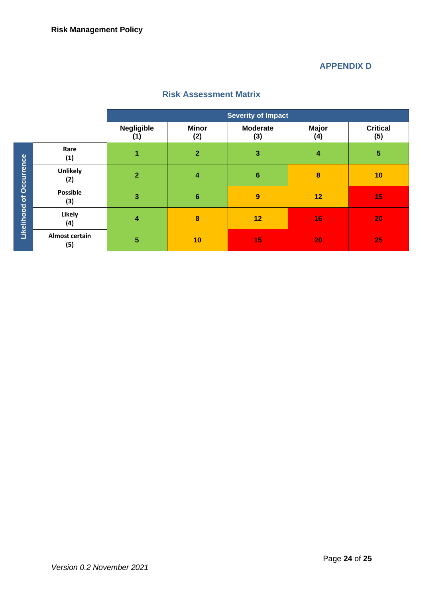# **APPENDIX D**

|                   |                              |                   |                     | <b>Severity of Impact</b> |                     |                        |
|-------------------|------------------------------|-------------------|---------------------|---------------------------|---------------------|------------------------|
|                   |                              | Negligible<br>(1) | <b>Minor</b><br>(2) | <b>Moderate</b><br>(3)    | <b>Major</b><br>(4) | <b>Critical</b><br>(5) |
|                   | Rare<br>(1)                  | 1                 | $\overline{2}$      | 3                         | 4                   | 5                      |
| <b>Occurrence</b> | Unlikely<br>(2)              | $\overline{2}$    | 4                   | $6\phantom{1}6$           | 8                   | 10                     |
| $\delta$          | <b>Possible</b><br>(3)       | 3                 | $6\phantom{1}6$     | 9                         | 12                  | 15                     |
| Likelihood        | Likely<br>(4)                | 4                 | 8                   | 12                        | 16                  | 20                     |
|                   | <b>Almost certain</b><br>(5) | 5                 | 10                  | 15                        | 20                  | 25                     |

## **Risk Assessment Matrix**